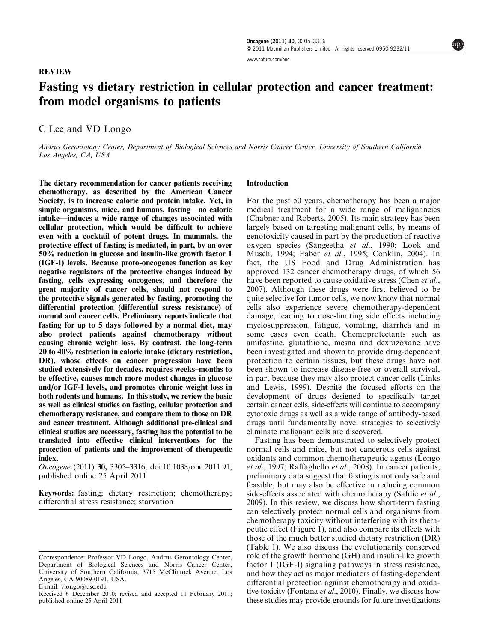[www.nature.com/onc](http://www.nature.com/onc)

# Fasting vs dietary restriction in cellular protection and cancer treatment: from model organisms to patients

# C Lee and VD Longo

Andrus Gerontology Center, Department of Biological Sciences and Norris Cancer Center, University of Southern California, Los Angeles, CA, USA

The dietary recommendation for cancer patients receiving chemotherapy, as described by the American Cancer Society, is to increase calorie and protein intake. Yet, in simple organisms, mice, and humans, fasting—no calorie intake—induces a wide range of changes associated with cellular protection, which would be difficult to achieve even with a cocktail of potent drugs. In mammals, the protective effect of fasting is mediated, in part, by an over 50% reduction in glucose and insulin-like growth factor 1 (IGF-I) levels. Because proto-oncogenes function as key negative regulators of the protective changes induced by fasting, cells expressing oncogenes, and therefore the great majority of cancer cells, should not respond to the protective signals generated by fasting, promoting the differential protection (differential stress resistance) of normal and cancer cells. Preliminary reports indicate that fasting for up to 5 days followed by a normal diet, may also protect patients against chemotherapy without causing chronic weight loss. By contrast, the long-term 20 to 40% restriction in calorie intake (dietary restriction, DR), whose effects on cancer progression have been studied extensively for decades, requires weeks–months to be effective, causes much more modest changes in glucose and/or IGF-I levels, and promotes chronic weight loss in both rodents and humans. In this study, we review the basic as well as clinical studies on fasting, cellular protection and chemotherapy resistance, and compare them to those on DR and cancer treatment. Although additional pre-clinical and clinical studies are necessary, fasting has the potential to be translated into effective clinical interventions for the protection of patients and the improvement of therapeutic index.

Oncogene (2011) 30, 3305–3316; doi[:10.1038/onc.2011.91](http://dx.doi.org/10.1038/onc.2011.91); published online 25 April 2011

Keywords: fasting; dietary restriction; chemotherapy; differential stress resistance; starvation

### Introduction

For the past 50 years, chemotherapy has been a major medical treatment for a wide range of malignancies [\(Chabner and Roberts, 2005](#page-8-0)). Its main strategy has been largely based on targeting malignant cells, by means of genotoxicity caused in part by the production of reactive oxygen species ([Sangeetha](#page-11-0) et al., 1990; [Look and](#page-10-0) [Musch, 1994](#page-10-0); Faber et al.[, 1995](#page-9-0); [Conklin, 2004](#page-8-0)). In fact, the US Food and Drug Administration has approved 132 cancer chemotherapy drugs, of which 56 have been reported to cause oxidative stress ([Chen](#page-8-0) *et al.*, [2007\)](#page-8-0). Although these drugs were first believed to be quite selective for tumor cells, we now know that normal cells also experience severe chemotherapy-dependent damage, leading to dose-limiting side effects including myelosuppression, fatigue, vomiting, diarrhea and in some cases even death. Chemoprotectants such as amifostine, glutathione, mesna and dexrazoxane have been investigated and shown to provide drug-dependent protection to certain tissues, but these drugs have not been shown to increase disease-free or overall survival, in part because they may also protect cancer cells ([Links](#page-10-0) [and Lewis, 1999](#page-10-0)). Despite the focused efforts on the development of drugs designed to specifically target certain cancer cells, side-effects will continue to accompany cytotoxic drugs as well as a wide range of antibody-based drugs until fundamentally novel strategies to selectively eliminate malignant cells are discovered.

Fasting has been demonstrated to selectively protect normal cells and mice, but not cancerous cells against oxidants and common chemotherapeutic agents ([Longo](#page-10-0) et al.[, 1997](#page-10-0); [Raffaghello](#page-10-0) et al., 2008). In cancer patients, preliminary data suggest that fasting is not only safe and feasible, but may also be effective in reducing common side-effects associated with chemotherapy [\(Safdie](#page-11-0) et al., [2009\)](#page-11-0). In this review, we discuss how short-term fasting can selectively protect normal cells and organisms from chemotherapy toxicity without interfering with its therapeutic effect [\(Figure 1\)](#page-1-0), and also compare its effects with those of the much better studied dietary restriction (DR) [\(Table 1\)](#page-2-0). We also discuss the evolutionarily conserved role of the growth hormone (GH) and insulin-like growth factor 1 (IGF-I) signaling pathways in stress resistance, and how they act as major mediators of fasting-dependent differential protection against chemotherapy and oxidative toxicity [\(Fontana](#page-9-0) et al., 2010). Finally, we discuss how Received 6 December 2010; revised and accepted 11 February 2011; the toxicity (Fontana *et al.*, 2010). Finally, we discuss how these studies may provide grounds for future investigations these studies may provide grounds

Correspondence: Professor VD Longo, Andrus Gerontology Center, Department of Biological Sciences and Norris Cancer Center, University of Southern California, 3715 McClintock Avenue, Los Angeles, CA 90089-0191, USA.

E-mail: vlongo@usc.edu

published online 25 April 2011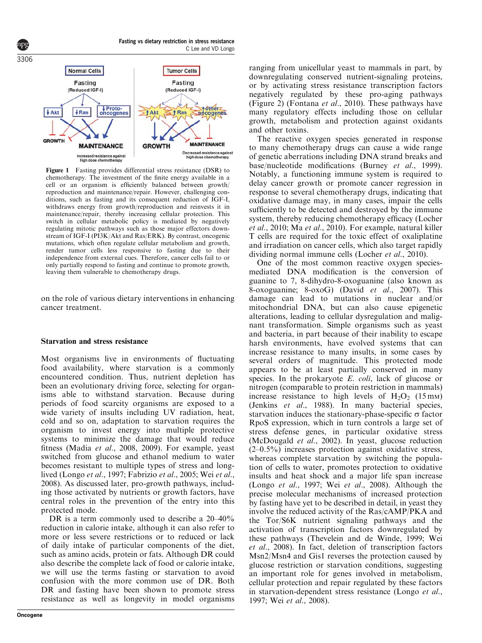<span id="page-1-0"></span>

Figure 1 Fasting provides differential stress resistance (DSR) to chemotherapy. The investment of the finite energy available in a cell or an organism is efficiently balanced between growth/ reproduction and maintenance/repair. However, challenging conditions, such as fasting and its consequent reduction of IGF-I, withdraws energy from growth/reproduction and reinvests it in maintenance/repair, thereby increasing cellular protection. This switch in cellular metabolic policy is mediated by negatively regulating mitotic pathways such as those major effectors downstream of IGF-I (PI3K/Akt and Ras/ERK). By contrast, oncogenic mutations, which often regulate cellular metabolism and growth, render tumor cells less responsive to fasting due to their independence from external cues. Therefore, cancer cells fail to or only partially respond to fasting and continue to promote growth, leaving them vulnerable to chemotherapy drugs.

on the role of various dietary interventions in enhancing cancer treatment.

#### Starvation and stress resistance

Most organisms live in environments of fluctuating food availability, where starvation is a commonly encountered condition. Thus, nutrient depletion has been an evolutionary driving force, selecting for organisms able to withstand starvation. Because during periods of food scarcity organisms are exposed to a wide variety of insults including UV radiation, heat, cold and so on, adaptation to starvation requires the organism to invest energy into multiple protective systems to minimize the damage that would reduce fitness (Madia et al.[, 2008, 2009\)](#page-10-0). For example, yeast switched from glucose and ethanol medium to water becomes resistant to multiple types of stress and longlived ([Longo](#page-10-0) et al., 1997; [Fabrizio](#page-9-0) et al., 2005; Wei [et al.](#page-11-0), [2008\)](#page-11-0). As discussed later, pro-growth pathways, including those activated by nutrients or growth factors, have central roles in the prevention of the entry into this protected mode.

DR is a term commonly used to describe a  $20-40\%$ reduction in calorie intake, although it can also refer to more or less severe restrictions or to reduced or lack of daily intake of particular components of the diet, such as amino acids, protein or fats. Although DR could also describe the complete lack of food or calorie intake, we will use the terms fasting or starvation to avoid confusion with the more common use of DR. Both DR and fasting have been shown to promote stress resistance as well as longevity in model organisms ranging from unicellular yeast to mammals in part, by downregulating conserved nutrient-signaling proteins, or by activating stress resistance transcription factors negatively regulated by these pro-aging pathways [\(Figure 2\)](#page-3-0) ([Fontana](#page-9-0) et al., 2010). These pathways have many regulatory effects including those on cellular growth, metabolism and protection against oxidants and other toxins.

The reactive oxygen species generated in response to many chemotherapy drugs can cause a wide range of genetic aberrations including DNA strand breaks and base/nucleotide modifications ([Burney](#page-8-0) et al., 1999). Notably, a functioning immune system is required to delay cancer growth or promote cancer regression in response to several chemotherapy drugs, indicating that oxidative damage may, in many cases, impair the cells sufficiently to be detected and destroyed by the immune system, thereby reducing chemotherapy efficacy ([Locher](#page-10-0) et al.[, 2010](#page-10-0); Ma et al.[, 2010](#page-10-0)). For example, natural killer T cells are required for the toxic effect of oxaliplatine and irradiation on cancer cells, which also target rapidly dividing normal immune cells [\(Locher](#page-10-0) et al., 2010).

One of the most common reactive oxygen speciesmediated DNA modification is the conversion of guanine to 7, 8-dihydro-8-oxoguanine (also known as 8-oxoguanine; 8-oxoG) (David et al.[, 2007](#page-8-0)). This damage can lead to mutations in nuclear and/or mitochondrial DNA, but can also cause epigenetic alterations, leading to cellular dysregulation and malignant transformation. Simple organisms such as yeast and bacteria, in part because of their inability to escape harsh environments, have evolved systems that can increase resistance to many insults, in some cases by several orders of magnitude. This protected mode appears to be at least partially conserved in many species. In the prokaryote E. coli, lack of glucose or nitrogen (comparable to protein restriction in mammals) increase resistance to high levels of  $H_2O_2$  (15 mm) [\(Jenkins](#page-9-0) et al., 1988). In many bacterial species, starvation induces the stationary-phase-specific  $\sigma$  factor RpoS expression, which in turn controls a large set of stress defense genes, in particular oxidative stress [\(McDougald](#page-10-0) et al., 2002). In yeast, glucose reduction (2–0.5%) increases protection against oxidative stress, whereas complete starvation by switching the population of cells to water, promotes protection to oxidative insults and heat shock and a major life span increase [\(Longo](#page-10-0) et al., 1997; Wei et al.[, 2008\)](#page-11-0). Although the precise molecular mechanisms of increased protection by fasting have yet to be described in detail, in yeast they involve the reduced activity of the Ras/cAMP/PKA and the Tor/S6K nutrient signaling pathways and the activation of transcription factors downregulated by these pathways [\(Thevelein and de Winde, 1999](#page-11-0); [Wei](#page-11-0) et al.[, 2008\)](#page-11-0). In fact, deletion of transcription factors Msn2/Msn4 and Gis1 reverses the protection caused by glucose restriction or starvation conditions, suggesting an important role for genes involved in metabolism, cellular protection and repair regulated by these factors in starvation-dependent stress resistance ([Longo](#page-10-0) et al., [1997;](#page-10-0) Wei et al.[, 2008](#page-11-0)).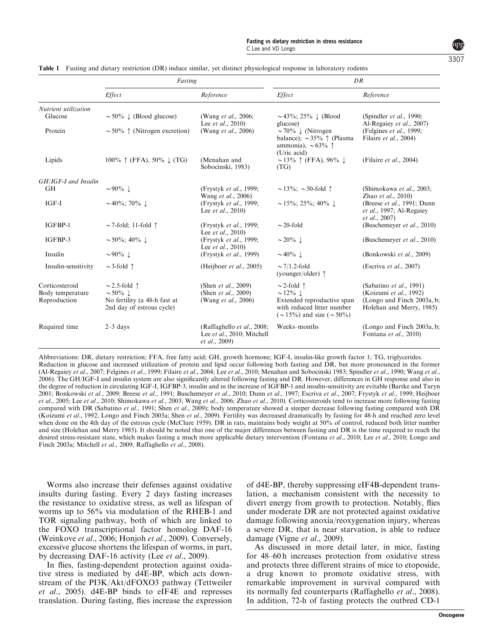| ۹                             |  |
|-------------------------------|--|
| ×<br>×<br>۰.<br>×<br>۰.<br>۰. |  |

|                                                    | Fasting                                                                                                       |                                                                                   | DR                                                                                                                                                     |                                                                                                             |
|----------------------------------------------------|---------------------------------------------------------------------------------------------------------------|-----------------------------------------------------------------------------------|--------------------------------------------------------------------------------------------------------------------------------------------------------|-------------------------------------------------------------------------------------------------------------|
|                                                    | Effect                                                                                                        | Reference                                                                         | Effect                                                                                                                                                 | Reference                                                                                                   |
| Nutrient utilization<br>Glucose                    | $\sim 50\% \downarrow$ (Blood glucose)                                                                        | (Wang et al., 2006;                                                               | $\sim$ 43%; 25% $\downarrow$ (Blood                                                                                                                    | (Spindler et al., 1990;                                                                                     |
| Protein                                            | $\sim$ 50% $\uparrow$ (Nitrogen excretion)                                                                    | Lee et al., 2010)<br>(Wang et al., 2006)                                          | glucose)<br>$\sim$ 70% $\perp$ (Nitrogen<br>balance); $\sim$ 35% $\uparrow$ (Plasma<br>ammonia), $\sim 63\%$ ↑                                         | Al-Regaiey et al., 2007)<br>(Felgines et al., 1999;<br>Filaire et al., 2004)                                |
| Lipids                                             | 100\% $\uparrow$ (FFA), 50\% $\downarrow$ (TG)                                                                | (Menahan and<br>Sobocinski, 1983)                                                 | (Uric acid)<br>$\sim$ 13% $\uparrow$ (FFA), 96% $\downarrow$<br>(TG)                                                                                   | (Filaire et al., 2004)                                                                                      |
| GH/IGF-I and Insulin                               |                                                                                                               |                                                                                   |                                                                                                                                                        |                                                                                                             |
| <b>GH</b>                                          | $\sim 90\%$ 1                                                                                                 | (Frystyk et al., 1999;<br>Wang et al., 2006)                                      | $\sim$ 13%; $\sim$ 50-fold 1                                                                                                                           | (Shimokawa et al., 2003;<br>Zhao et al., 2010)                                                              |
| $IGF-I$                                            | $\sim$ 40%; 70% ⊥                                                                                             | (Frystyk et al., 1999;<br>Lee et al., 2010)                                       | $\sim$ 15%: 25%: 40%                                                                                                                                   | (Breese et al., 1991; Dunn<br>et al., 1997; Al-Regaiey<br><i>et al.</i> , 2007)                             |
| IGFBP-1                                            | $\sim$ 7-fold; 11-fold $\uparrow$                                                                             | (Frystyk et al., 1999;<br>Lee <i>et al.</i> , 2010)                               | $\sim$ 20-fold                                                                                                                                         | (Buschemeyer et al., 2010)                                                                                  |
| IGFBP-3                                            | $\sim$ 50%; 40% $\pm$                                                                                         | (Frystyk et al., 1999;<br>Lee <i>et al.</i> , 2010)                               | $\sim$ 20% $\perp$                                                                                                                                     | (Buschemeyer et al., 2010)                                                                                  |
| Insulin                                            | $\sim 90\%$ 1                                                                                                 | (Frystyk et al., 1999)                                                            | $\sim$ 40% $\pm$                                                                                                                                       | (Bonkowski et al., 2009)                                                                                    |
| Insulin-sensitivity                                | $\sim$ 3-fold $\uparrow$                                                                                      | (Heijboer <i>et al.</i> , 2005)                                                   | $\sim$ 7/1.2-fold<br>(younger/older) $\uparrow$                                                                                                        | (Escriva et al., 2007)                                                                                      |
| Corticosteroid<br>Body temperature<br>Reproduction | $\sim$ 2.5-fold $\uparrow$<br>$\sim$ 50% $\perp$<br>No fertility (a 48-h fast at<br>2nd day of estrous cycle) | (Shen <i>et al.</i> , 2009)<br>(Shen <i>et al.</i> , 2009)<br>(Wang et al., 2006) | $\sim$ 2-fold $\uparrow$<br>$\sim$ 12% $\perp$<br>Extended reproductive span<br>with reduced litter number<br>$({\sim}15\%)$ and size ( ${\sim}50\%$ ) | (Sabatino et al., 1991)<br>(Koizumi et al., 1992)<br>(Longo and Finch 2003a, b;<br>Holehan and Merry, 1985) |
| Required time                                      | $2-3$ days                                                                                                    | (Raffaghello et al., 2008;<br>Lee et al., 2010; Mitchell<br><i>et al.</i> , 2009) | Weeks-months                                                                                                                                           | (Longo and Finch 2003a, b;<br>Fontana et al., 2010)                                                         |

<span id="page-2-0"></span>Table 1 Fasting and dietary restriction (DR) induce similar, yet distinct physiological response in laboratory rodents

Abbreviations: DR, dietary restriction; FFA, free fatty acid; GH, growth hormone; IGF-I, insulin-like growth factor 1; TG, triglycerides. Reduction in glucose and increased utilization of protein and lipid occur following both fasting and DR, but more pronounced in the former [\(Al-Regaiey](#page-8-0) et al., 2007; [Felgines](#page-9-0) et al., 1999; [Filaire](#page-9-0) et al., 2004; Lee et al.[, 2010; Menahan and Sobocinski 1983](#page-10-0); [Spindler](#page-11-0) et al., 1990; [Wang](#page-11-0) et al., [2006\)](#page-11-0). The GH/IGF-I and insulin system are also significantly altered following fasting and DR. However, differences in GH response and also in the degree of reduction in circulating IGF-I, IGFBP-3, insulin and in the increase of IGFBP-1 and insulin-sensitivity are evitable ([Bartke and Turyn](#page-8-0) [2001; Bonkowski](#page-8-0) et al., 2009; [Breese](#page-8-0) et al., 1991; [Buschemeyer](#page-8-0) et al., 2010; Dunn et al.[, 1997](#page-9-0); [Escriva](#page-9-0) et al., 2007; [Frystyk](#page-9-0) et al., 1999; [Heijboer](#page-9-0) et al.[, 2005;](#page-9-0) Lee et al.[, 2010;](#page-10-0) [Shimokawa](#page-11-0) et al., 2003; Wang et al.[, 2006](#page-11-0); Zhao et al.[, 2010\)](#page-11-0). Corticosteroids tend to increase more following fasting compared with DR ([Sabatino](#page-11-0) et al., 1991; Shen et al.[, 2009](#page-11-0)); body temperature showed a steeper decrease following fasting compared with DR [\(Koizumi](#page-10-0) et al., 1992; [Longo and Finch 2003a](#page-10-0); Shen et al.[, 2009](#page-11-0)). Fertility was decreased dramatically by fasting for 48-h and reached zero level when done on the 4th day of the estrous cycle ([McClure 1959](#page-10-0)). DR in rats, maintains body weight at 50% of control, reduced both litter number and size ([Holehan and Merry 1985\)](#page-9-0). It should be noted that one of the major differences between fasting and DR is the time required to reach the desired stress-resistant state, which makes fasting a much more applicable dietary intervention ([Fontana](#page-9-0) et al., 2010; Lee et al.[, 2010; Longo and](#page-10-0) [Finch 2003a](#page-10-0); [Mitchell](#page-10-0) et al., 2009; [Raffaghello](#page-10-0) et al., 2008).

Worms also increase their defenses against oxidative insults during fasting. Every 2 days fasting increases the resistance to oxidative stress, as well as lifespan of worms up to 56% via modulation of the RHEB-1 and TOR signaling pathway, both of which are linked to the FOXO transcriptional factor homolog DAF-16 [\(Weinkove](#page-11-0) et al., 2006; [Honjoh](#page-9-0) et al., 2009). Conversely, excessive glucose shortens the lifespan of worms, in part, by decreasing DAF-16 activity (Lee et al.[, 2009\)](#page-10-0).

In flies, fasting-dependent protection against oxidative stress is mediated by d4E-BP, which acts downstream of the PI3K/Akt/dFOXO3 pathway [\(Tettweiler](#page-11-0) et al.[, 2005](#page-11-0)). d4E-BP binds to eIF4E and represses translation. During fasting, flies increase the expression

of d4E-BP, thereby suppressing eIF4B-dependent translation, a mechanism consistent with the necessity to divert energy from growth to protection. Notably, flies under moderate DR are not protected against oxidative damage following anoxia/reoxygenation injury, whereas a severe DR, that is near starvation, is able to reduce damage (Vigne et al.[, 2009](#page-11-0)).

As discussed in more detail later, in mice, fasting for 48–60 h increases protection from oxidative stress and protects three different strains of mice to etoposide, a drug known to promote oxidative stress, with remarkable improvement in survival compared with its normally fed counterparts [\(Raffaghello](#page-10-0) et al., 2008). In addition, 72-h of fasting protects the outbred CD-1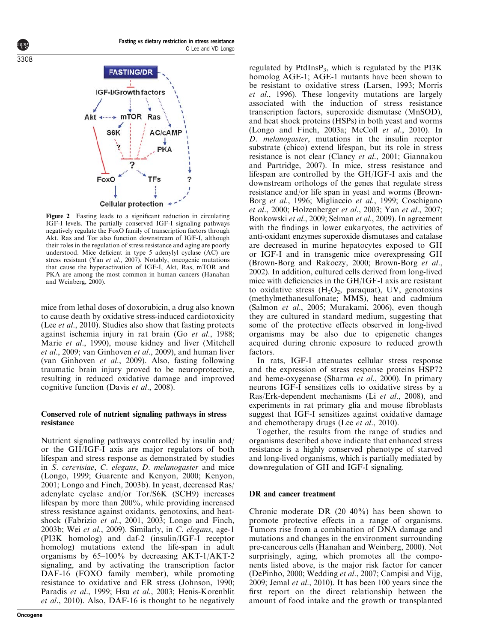<span id="page-3-0"></span>

Figure 2 Fasting leads to a significant reduction in circulating IGF-I levels. The partially conserved IGF-I signaling pathways negatively regulate the FoxO family of transcription factors through Akt. Ras and Tor also function downstream of IGF-I, although their roles in the regulation of stress resistance and aging are poorly understood. Mice deficient in type 5 adenylyl cyclase (AC) are stress resistant (Yan et al.[, 2007](#page-11-0)). Notably, oncogenic mutations that cause the hyperactivation of IGF-I, Akt, Ras, mTOR and PKA are among the most common in human cancers [\(Hanahan](#page-9-0) [and Weinberg, 2000\)](#page-9-0).

mice from lethal doses of doxorubicin, a drug also known to cause death by oxidative stress-induced cardiotoxicity (Lee *et al.*[, 2010](#page-10-0)). Studies also show that fasting protects against ischemia injury in rat brain (Go et al.[, 1988](#page-9-0); Marie et al.[, 1990](#page-10-0)), mouse kidney and liver [\(Mitchell](#page-10-0) et al.[, 2009;](#page-10-0) [van Ginhoven](#page-11-0) et al., 2009), and human liver [\(van Ginhoven](#page-11-0) et al., 2009). Also, fasting following traumatic brain injury proved to be neuroprotective, resulting in reduced oxidative damage and improved cognitive function (Davis et al.[, 2008\)](#page-8-0).

## Conserved role of nutrient signaling pathways in stress resistance

Nutrient signaling pathways controlled by insulin and/ or the GH/IGF-I axis are major regulators of both lifespan and stress response as demonstrated by studies in S. cerevisiae, C. elegans, D. melanogaster and mice [\(Longo, 1999;](#page-10-0) [Guarente and Kenyon, 2000](#page-9-0); [Kenyon,](#page-9-0) [2001;](#page-9-0) [Longo and Finch, 2003b\)](#page-10-0). In yeast, decreased Ras/ adenylate cyclase and/or Tor/S6K (SCH9) increases lifespan by more than 200%, while providing increased stress resistance against oxidants, genotoxins, and heatshock (Fabrizio et al.[, 2001, 2003;](#page-9-0) [Longo and Finch,](#page-10-0) [2003b](#page-10-0); Wei et al.[, 2009](#page-11-0)). Similarly, in C. elegans, age-1 (PI3K homolog) and daf-2 (insulin/IGF-I receptor homolog) mutations extend the life-span in adult organisms by 65–100% by decreasing AKT-1/AKT-2 signaling, and by activating the transcription factor DAF-16 (FOXO family member), while promoting resistance to oxidative and ER stress [\(Johnson, 1990](#page-9-0); [Paradis](#page-10-0) et al., 1999; Hsu et al.[, 2003](#page-9-0); [Henis-Korenblit](#page-9-0) et al.[, 2010\)](#page-9-0). Also, DAF-16 is thought to be negatively regulated by PtdIns $P_3$ , which is regulated by the PI3K homolog AGE-1; AGE-1 mutants have been shown to be resistant to oxidative stress ([Larsen, 1993; Morris](#page-10-0) et al.[, 1996](#page-10-0)). These longevity mutations are largely associated with the induction of stress resistance transcription factors, superoxide dismutase (MnSOD), and heat shock proteins (HSPs) in both yeast and worms [\(Longo and Finch, 2003a; McColl](#page-10-0) et al., 2010). In D. melanogaster, mutations in the insulin receptor substrate (chico) extend lifespan, but its role in stress resistance is not clear [\(Clancy](#page-8-0) et al., 2001; [Giannakou](#page-9-0) [and Partridge, 2007](#page-9-0)). In mice, stress resistance and lifespan are controlled by the GH/IGF-I axis and the downstream orthologs of the genes that regulate stress resistance and/or life span in yeast and worms ([Brown-](#page-8-0)Borg et al.[, 1996](#page-8-0); [Migliaccio](#page-10-0) et al., 1999; [Coschigano](#page-8-0) et al.[, 2000](#page-8-0); [Holzenberger](#page-9-0) et al., 2003; Yan et al.[, 2007](#page-11-0); [Bonkowski](#page-8-0) et al., 2009; [Selman](#page-11-0) et al., 2009). In agreement with the findings in lower eukaryotes, the activities of anti-oxidant enzymes superoxide dismutases and catalase are decreased in murine hepatocytes exposed to GH or IGF-I and in transgenic mice overexpressing GH [\(Brown-Borg and Rakoczy, 2000](#page-8-0); [Brown-Borg](#page-8-0) et al., [2002\)](#page-8-0). In addition, cultured cells derived from long-lived mice with deficiencies in the GH/IGF-I axis are resistant to oxidative stress  $(H<sub>2</sub>O<sub>2</sub>)$ , paraquat), UV, genotoxins (methylmethanesulfonate; MMS), heat and cadmium [\(Salmon](#page-11-0) et al., 2005; [Murakami, 2006](#page-10-0)), even though they are cultured in standard medium, suggesting that some of the protective effects observed in long-lived organisms may be also due to epigenetic changes acquired during chronic exposure to reduced growth factors.

In rats, IGF-I attenuates cellular stress response and the expression of stress response proteins HSP72 and heme-oxygenase [\(Sharma](#page-11-0) et al., 2000). In primary neurons IGF-I sensitizes cells to oxidative stress by a Ras/Erk-dependent mechanisms (Li et al.[, 2008](#page-10-0)), and experiments in rat primary glia and mouse fibroblasts suggest that IGF-I sensitizes against oxidative damage and chemotherapy drugs (Lee et al.[, 2010\)](#page-10-0).

Together, the results from the range of studies and organisms described above indicate that enhanced stress resistance is a highly conserved phenotype of starved and long-lived organisms, which is partially mediated by downregulation of GH and IGF-I signaling.

#### DR and cancer treatment

Chronic moderate DR (20–40%) has been shown to promote protective effects in a range of organisms. Tumors rise from a combination of DNA damage and mutations and changes in the environment surrounding pre-cancerous cells ([Hanahan and Weinberg, 2000](#page-9-0)). Not surprisingly, aging, which promotes all the components listed above, is the major risk factor for cancer [\(DePinho, 2000](#page-8-0); [Wedding](#page-11-0) et al., 2007; [Campisi and Vijg,](#page-8-0) [2009;](#page-8-0) Jemal et al.[, 2010\)](#page-9-0). It has been 100 years since the first report on the direct relationship between the amount of food intake and the growth or transplanted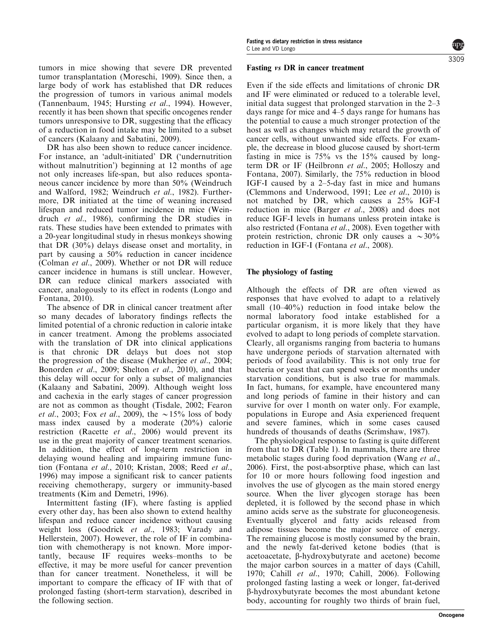tumors in mice showing that severe DR prevented tumor transplantation ([Moreschi, 1909\)](#page-10-0). Since then, a large body of work has established that DR reduces the progression of tumors in various animal models [\(Tannenbaum, 1945](#page-11-0); [Hursting](#page-9-0) et al., 1994). However, recently it has been shown that specific oncogenes render tumors unresponsive to DR, suggesting that the efficacy of a reduction in food intake may be limited to a subset of cancers ([Kalaany and Sabatini, 2009](#page-9-0)).

DR has also been shown to reduce cancer incidence. For instance, an 'adult-initiated' DR ('undernutrition without malnutrition') beginning at 12 months of age not only increases life-span, but also reduces spontaneous cancer incidence by more than 50% ([Weindruch](#page-11-0) [and Walford, 1982](#page-11-0); [Weindruch](#page-11-0) et al., 1982). Furthermore, DR initiated at the time of weaning increased lifespan and reduced tumor incidence in mice [\(Wein](#page-11-0)druch et al.[, 1986\)](#page-11-0), confirming the DR studies in rats. These studies have been extended to primates with a 20-year longitudinal study in rhesus monkeys showing that DR (30%) delays disease onset and mortality, in part by causing a 50% reduction in cancer incidence [\(Colman](#page-8-0) et al., 2009). Whether or not DR will reduce cancer incidence in humans is still unclear. However, DR can reduce clinical markers associated with cancer, analogously to its effect in rodents [\(Longo and](#page-10-0) [Fontana, 2010](#page-10-0)).

The absence of DR in clinical cancer treatment after so many decades of laboratory findings reflects the limited potential of a chronic reduction in calorie intake in cancer treatment. Among the problems associated with the translation of DR into clinical applications is that chronic DR delays but does not stop the progression of the disease [\(Mukherjee](#page-10-0) et al., 2004; [Bonorden](#page-8-0) et al., 2009; [Shelton](#page-11-0) et al., 2010), and that this delay will occur for only a subset of malignancies [\(Kalaany and Sabatini, 2009\)](#page-9-0). Although weight loss and cachexia in the early stages of cancer progression are not as common as thought ([Tisdale, 2002](#page-11-0); [Fearon](#page-9-0) et al.[, 2003](#page-9-0); Fox et al.[, 2009](#page-9-0)), the  $\sim$ 15% loss of body mass index caused by a moderate (20%) calorie restriction [\(Racette](#page-10-0) et al., 2006) would prevent its use in the great majority of cancer treatment scenarios. In addition, the effect of long-term restriction in delaying wound healing and impairing immune function [\(Fontana](#page-9-0) et al., 2010; [Kristan, 2008;](#page-10-0) Reed [et al.](#page-10-0), [1996\)](#page-10-0) may impose a significant risk to cancer patients receiving chemotherapy, surgery or immunity-based treatments ([Kim and Demetri, 1996](#page-9-0)).

Intermittent fasting (IF), where fasting is applied every other day, has been also shown to extend healthy lifespan and reduce cancer incidence without causing weight loss [\(Goodrick](#page-9-0) et al., 1983; [Varady and](#page-11-0) [Hellerstein, 2007\)](#page-11-0). However, the role of IF in combination with chemotherapy is not known. More importantly, because IF requires weeks–months to be effective, it may be more useful for cancer prevention than for cancer treatment. Nonetheless, it will be important to compare the efficacy of IF with that of prolonged fasting (short-term starvation), described in the following section.

## Fasting vs DR in cancer treatment

Even if the side effects and limitations of chronic DR and IF were eliminated or reduced to a tolerable level, initial data suggest that prolonged starvation in the 2–3 days range for mice and 4–5 days range for humans has the potential to cause a much stronger protection of the host as well as changes which may retard the growth of cancer cells, without unwanted side effects. For example, the decrease in blood glucose caused by short-term fasting in mice is  $75\%$  vs the  $15\%$  caused by longterm DR or IF [\(Heilbronn](#page-9-0) et al., 2005; [Holloszy and](#page-9-0) [Fontana, 2007\)](#page-9-0). Similarly, the 75% reduction in blood IGF-I caused by a 2–5-day fast in mice and humans [\(Clemmons and Underwood, 1991](#page-8-0); Lee et al.[, 2010](#page-10-0)) is not matched by DR, which causes a 25% IGF-I reduction in mice ([Barger](#page-8-0) et al., 2008) and does not reduce IGF-I levels in humans unless protein intake is also restricted ([Fontana](#page-9-0) et al., 2008). Even together with protein restriction, chronic DR only causes a  $\sim$  30% reduction in IGF-I ([Fontana](#page-9-0) et al., 2008).

## The physiology of fasting

Although the effects of DR are often viewed as responses that have evolved to adapt to a relatively small (10–40%) reduction in food intake below the normal laboratory food intake established for a particular organism, it is more likely that they have evolved to adapt to long periods of complete starvation. Clearly, all organisms ranging from bacteria to humans have undergone periods of starvation alternated with periods of food availability. This is not only true for bacteria or yeast that can spend weeks or months under starvation conditions, but is also true for mammals. In fact, humans, for example, have encountered many and long periods of famine in their history and can survive for over 1 month on water only. For example, populations in Europe and Asia experienced frequent and severe famines, which in some cases caused hundreds of thousands of deaths [\(Scrimshaw, 1987](#page-11-0)).

The physiological response to fasting is quite different from that to DR [\(Table 1](#page-2-0)). In mammals, there are three metabolic stages during food deprivation [\(Wang](#page-11-0) et al., [2006\)](#page-11-0). First, the post-absorptive phase, which can last for 10 or more hours following food ingestion and involves the use of glycogen as the main stored energy source. When the liver glycogen storage has been depleted, it is followed by the second phase in which amino acids serve as the substrate for gluconeogenesis. Eventually glycerol and fatty acids released from adipose tissues become the major source of energy. The remaining glucose is mostly consumed by the brain, and the newly fat-derived ketone bodies (that is acetoacetate, b-hydroxybutyrate and acetone) become the major carbon sources in a matter of days [\(Cahill,](#page-8-0) [1970;](#page-8-0) Cahill et al.[, 1970](#page-8-0); [Cahill, 2006](#page-8-0)). Following prolonged fasting lasting a week or longer, fat-derived b-hydroxybutyrate becomes the most abundant ketone body, accounting for roughly two thirds of brain fuel,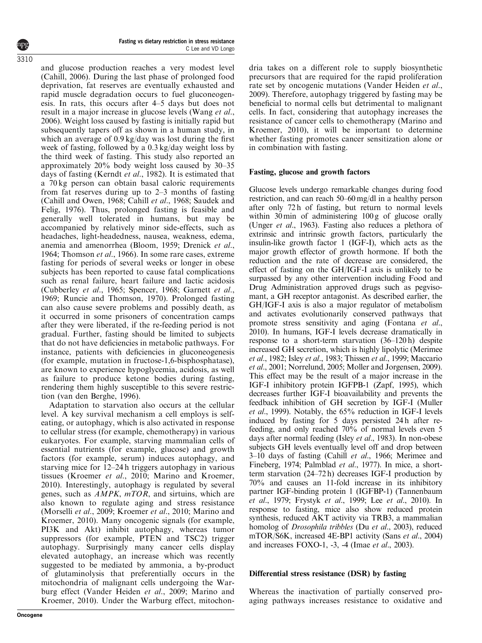and glucose production reaches a very modest level [\(Cahill, 2006\)](#page-8-0). During the last phase of prolonged food deprivation, fat reserves are eventually exhausted and rapid muscle degradation occurs to fuel gluconeogenesis. In rats, this occurs after 4–5 days but does not result in a major increase in glucose levels ([Wang](#page-11-0) et al., [2006\)](#page-11-0). Weight loss caused by fasting is initially rapid but subsequently tapers off as shown in a human study, in which an average of 0.9 kg/day was lost during the first week of fasting, followed by a 0.3 kg/day weight loss by the third week of fasting. This study also reported an approximately 20% body weight loss caused by 30–35 days of fasting ([Kerndt](#page-9-0) et al., 1982). It is estimated that a 70 kg person can obtain basal caloric requirements from fat reserves during up to 2–3 months of fasting [\(Cahill and Owen, 1968](#page-8-0); Cahill et al.[, 1968;](#page-8-0) [Saudek and](#page-11-0) [Felig, 1976](#page-11-0)). Thus, prolonged fasting is feasible and generally well tolerated in humans, but may be accompanied by relatively minor side-effects, such as headaches, light-headedness, nausea, weakness, edema, anemia and amenorrhea [\(Bloom, 1959; Drenick](#page-8-0) et al., [1964;](#page-8-0) [Thomson](#page-11-0) et al., 1966). In some rare cases, extreme fasting for periods of several weeks or longer in obese subjects has been reported to cause fatal complications such as renal failure, heart failure and lactic acidosis [\(Cubberley](#page-8-0) et al., 1965; [Spencer, 1968;](#page-11-0) [Garnett](#page-9-0) et al., [1969;](#page-9-0) [Runcie and Thomson, 1970\)](#page-11-0). Prolonged fasting can also cause severe problems and possibly death, as it occurred in some prisoners of concentration camps after they were liberated, if the re-feeding period is not gradual. Further, fasting should be limited to subjects that do not have deficiencies in metabolic pathways. For instance, patients with deficiencies in gluconeogenesis (for example, mutation in fructose-1,6-bisphosphatase), are known to experience hypoglycemia, acidosis, as well as failure to produce ketone bodies during fasting, rendering them highly susceptible to this severe restriction [\(van den Berghe, 1996\)](#page-11-0).

Adaptation to starvation also occurs at the cellular level. A key survival mechanism a cell employs is selfeating, or autophagy, which is also activated in response to cellular stress (for example, chemotherapy) in various eukaryotes. For example, starving mammalian cells of essential nutrients (for example, glucose) and growth factors (for example, serum) induces autophagy, and starving mice for 12–24 h triggers autophagy in various tissues ([Kroemer](#page-10-0) et al., 2010; [Marino and Kroemer,](#page-10-0) [2010\)](#page-10-0). Interestingly, autophagy is regulated by several genes, such as AMPK, mTOR, and sirtuins, which are also known to regulate aging and stress resistance [\(Morselli](#page-10-0) et al., 2009; [Kroemer](#page-10-0) et al., 2010; [Marino and](#page-10-0) [Kroemer, 2010](#page-10-0)). Many oncogenic signals (for example, PI3K and Akt) inhibit autophagy, whereas tumor suppressors (for example, PTEN and TSC2) trigger autophagy. Surprisingly many cancer cells display elevated autophagy, an increase which was recently suggested to be mediated by ammonia, a by-product of glutaminolysis that preferentially occurs in the mitochondria of malignant cells undergoing the Warburg effect ([Vander Heiden](#page-11-0) et al., 2009; [Marino and](#page-10-0) [Kroemer, 2010\)](#page-10-0). Under the Warburg effect, mitochondria takes on a different role to supply biosynthetic precursors that are required for the rapid proliferation rate set by oncogenic mutations [\(Vander Heiden](#page-11-0) et al., [2009\)](#page-11-0). Therefore, autophagy triggered by fasting may be beneficial to normal cells but detrimental to malignant cells. In fact, considering that autophagy increases the resistance of cancer cells to chemotherapy [\(Marino and](#page-10-0) [Kroemer, 2010\)](#page-10-0), it will be important to determine whether fasting promotes cancer sensitization alone or in combination with fasting.

## Fasting, glucose and growth factors

Glucose levels undergo remarkable changes during food restriction, and can reach 50–60 mg/dl in a healthy person after only 72 h of fasting, but return to normal levels within 30 min of administering 100 g of glucose orally [\(Unger](#page-11-0) et al., 1963). Fasting also reduces a plethora of extrinsic and intrinsic growth factors, particularly the insulin-like growth factor 1 (IGF-I), which acts as the major growth effector of growth hormone. If both the reduction and the rate of decrease are considered, the effect of fasting on the GH/IGF-I axis is unlikely to be surpassed by any other intervention including Food and Drug Administration approved drugs such as pegvisomant, a GH receptor antagonist. As described earlier, the GH/IGF-I axis is also a major regulator of metabolism and activates evolutionarily conserved pathways that promote stress sensitivity and aging ([Fontana](#page-9-0) et al., [2010\)](#page-9-0). In humans, IGF-I levels decrease dramatically in response to a short-term starvation (36–120 h) despite increased GH secretion, which is highly lipolytic [\(Merimee](#page-10-0) et al.[, 1982](#page-10-0); Isley et al.[, 1983;](#page-9-0) [Thissen](#page-11-0) et al., 1999; [Maccario](#page-10-0) et al.[, 2001](#page-10-0); [Norrelund, 2005; Moller and Jorgensen, 2009](#page-10-0)). This effect may be the result of a major increase in the IGF-I inhibitory protein IGFPB-1 [\(Zapf, 1995\)](#page-11-0), which decreases further IGF-I bioavailability and prevents the feedback inhibition of GH secretion by IGF-I [\(Muller](#page-10-0) et al.[, 1999\)](#page-10-0). Notably, the 65% reduction in IGF-I levels induced by fasting for 5 days persisted 24 h after refeeding, and only reached 70% of normal levels even 5 days after normal feeding (Isley et al.[, 1983\)](#page-9-0). In non-obese subjects GH levels eventually level off and drop between 3–10 days of fasting (Cahill *et al.*[, 1966;](#page-8-0) [Merimee and](#page-10-0) [Fineberg, 1974; Palmblad](#page-10-0) et al., 1977). In mice, a shortterm starvation (24–72 h) decreases IGF-I production by 70% and causes an 11-fold increase in its inhibitory partner IGF-binding protein 1 (IGFBP-1) [\(Tannenbaum](#page-11-0) et al.[, 1979;](#page-11-0) [Frystyk](#page-9-0) et al., 1999; Lee et al.[, 2010](#page-10-0)). In response to fasting, mice also show reduced protein synthesis, reduced AKT activity via TRB3, a mammalian homolog of *Drosophila tribbles* (Du et al.[, 2003\)](#page-8-0), reduced mTOR/S6K, increased 4E-BP1 activity (Sans *et al.*[, 2004\)](#page-11-0) and increases FOXO-1, -3, -4 (Imae et al.[, 2003](#page-9-0)).

#### Differential stress resistance (DSR) by fasting

Whereas the inactivation of partially conserved proaging pathways increases resistance to oxidative and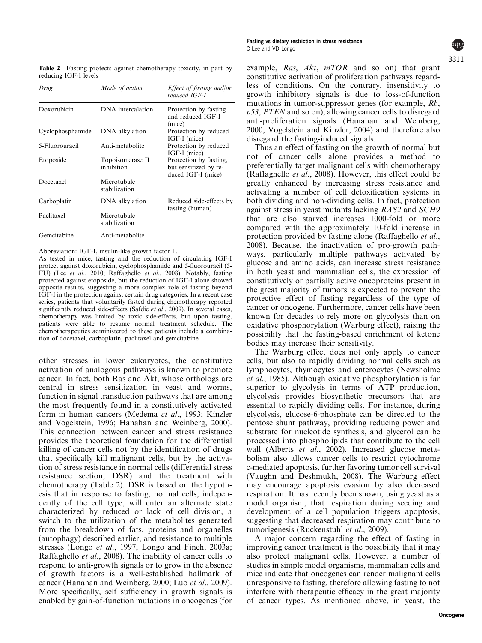<span id="page-6-0"></span>Table 2 Fasting protects against chemotherapy toxicity, in part by reducing IGF-I levels

| Drug             | Mode of action                 | <i>Effect of fasting and/or</i><br>reduced IGF-I                      |
|------------------|--------------------------------|-----------------------------------------------------------------------|
| Doxorubicin      | DNA intercalation              | Protection by fasting<br>and reduced IGF-I<br>(mice)                  |
| Cyclophosphamide | DNA alkylation                 | Protection by reduced<br>IGF-I (mice)                                 |
| 5-Fluorouracil   | Anti-metabolite                | Protection by reduced<br>IGF-I (mice)                                 |
| Etoposide        | Topoisomerase II<br>inhibition | Protection by fasting,<br>but sensitized by re-<br>duced IGF-I (mice) |
| Docetaxel        | Microtubule<br>stabilization   |                                                                       |
| Carboplatin      | DNA alkylation                 | Reduced side-effects by<br>fasting (human)                            |
| Paclitaxel       | Microtubule<br>stabilization   |                                                                       |
| Gemcitabine      | Anti-metabolite                |                                                                       |

Abbreviation: IGF-I, insulin-like growth factor 1.

As tested in mice, fasting and the reduction of circulating IGF-I protect against doxorubicin, cyclophosphamide and 5-fluorouracil (5- FU) (Lee et al.[, 2010; Raffaghello](#page-10-0) et al., 2008). Notably, fasting protected against etoposide, but the reduction of IGF-I alone showed opposite results, suggesting a more complex role of fasting beyond IGF-I in the protection against certain drug categories. In a recent case series, patients that voluntarily fasted during chemotherapy reported significantly reduced side-effects ([Safdie](#page-11-0) et al., 2009). In several cases, chemotherapy was limited by toxic side-effects, but upon fasting, patients were able to resume normal treatment schedule. The chemotherapeutics administered to these patients include a combination of docetaxel, carboplatin, paclitaxel and gemcitabine.

other stresses in lower eukaryotes, the constitutive activation of analogous pathways is known to promote cancer. In fact, both Ras and Akt, whose orthologs are central in stress sensitization in yeast and worms, function in signal transduction pathways that are among the most frequently found in a constitutively activated form in human cancers ([Medema](#page-10-0) et al., 1993; [Kinzler](#page-9-0) [and Vogelstein, 1996](#page-9-0); [Hanahan and Weinberg, 2000\)](#page-9-0). This connection between cancer and stress resistance provides the theoretical foundation for the differential killing of cancer cells not by the identification of drugs that specifically kill malignant cells, but by the activation of stress resistance in normal cells (differential stress resistance section, DSR) and the treatment with chemotherapy (Table 2). DSR is based on the hypothesis that in response to fasting, normal cells, independently of the cell type, will enter an alternate state characterized by reduced or lack of cell division, a switch to the utilization of the metabolites generated from the breakdown of fats, proteins and organelles (autophagy) described earlier, and resistance to multiple stresses ([Longo](#page-10-0) et al., 1997; [Longo and Finch, 2003a](#page-10-0); [Raffaghello](#page-10-0) et al., 2008). The inability of cancer cells to respond to anti-growth signals or to grow in the absence of growth factors is a well-established hallmark of cancer [\(Hanahan and Weinberg, 2000;](#page-9-0) Luo et al.[, 2009\)](#page-10-0). More specifically, self sufficiency in growth signals is enabled by gain-of-function mutations in oncogenes (for example, Ras, Akt,  $mTOR$  and so on) that grant constitutive activation of proliferation pathways regardless of conditions. On the contrary, insensitivity to growth inhibitory signals is due to loss-of-function mutations in tumor-suppressor genes (for example, Rb, p53, PTEN and so on), allowing cancer cells to disregard anti-proliferation signals [\(Hanahan and Weinberg,](#page-9-0)

[2000;](#page-9-0) [Vogelstein and Kinzler, 2004\)](#page-11-0) and therefore also

disregard the fasting-induced signals. Thus an effect of fasting on the growth of normal but not of cancer cells alone provides a method to preferentially target malignant cells with chemotherapy [\(Raffaghello](#page-10-0) et al., 2008). However, this effect could be greatly enhanced by increasing stress resistance and activating a number of cell detoxification systems in both dividing and non-dividing cells. In fact, protection against stress in yeast mutants lacking RAS2 and SCH9 that are also starved increases 1000-fold or more compared with the approximately 10-fold increase in protection provided by fasting alone [\(Raffaghello](#page-10-0) et al., [2008\)](#page-10-0). Because, the inactivation of pro-growth pathways, particularly multiple pathways activated by glucose and amino acids, can increase stress resistance in both yeast and mammalian cells, the expression of constitutively or partially active oncoproteins present in the great majority of tumors is expected to prevent the protective effect of fasting regardless of the type of cancer or oncogene. Furthermore, cancer cells have been known for decades to rely more on glycolysis than on oxidative phosphorylation (Warburg effect), raising the possibility that the fasting-based enrichment of ketone bodies may increase their sensitivity.

The Warburg effect does not only apply to cancer cells, but also to rapidly dividing normal cells such as lymphocytes, thymocytes and enterocytes [\(Newsholme](#page-10-0) et al.[, 1985](#page-10-0)). Although oxidative phosphorylation is far superior to glycolysis in terms of ATP production, glycolysis provides biosynthetic precursors that are essential to rapidly dividing cells. For instance, during glycolysis, glucose-6-phosphate can be directed to the pentose shunt pathway, providing reducing power and substrate for nucleotide synthesis, and glycerol can be processed into phospholipids that contribute to the cell wall [\(Alberts](#page-8-0) et al., 2002). Increased glucose metabolism also allows cancer cells to restrict cytochrome c-mediated apoptosis, further favoring tumor cell survival [\(Vaughn and Deshmukh, 2008\)](#page-11-0). The Warburg effect may encourage apoptosis evasion by also decreased respiration. It has recently been shown, using yeast as a model organism, that respiration during seeding and development of a cell population triggers apoptosis, suggesting that decreased respiration may contribute to tumorigenesis [\(Ruckenstuhl](#page-11-0) et al., 2009).

A major concern regarding the effect of fasting in improving cancer treatment is the possibility that it may also protect malignant cells. However, a number of studies in simple model organisms, mammalian cells and mice indicate that oncogenes can render malignant cells unresponsive to fasting, therefore allowing fasting to not interfere with therapeutic efficacy in the great majority of cancer types. As mentioned above, in yeast, the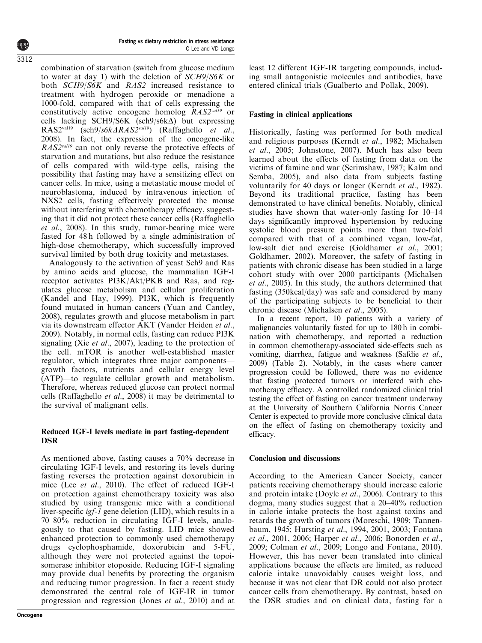combination of starvation (switch from glucose medium to water at day 1) with the deletion of SCH9/S6K or both SCH9/S6K and RAS2 increased resistance to treatment with hydrogen peroxide or menadione a 1000-fold, compared with that of cells expressing the constitutively active oncogene homolog RAS2val19 or cells lacking SCH9/S6K (sch9/s6kΔ) but expressing RAS2val19 (sch9/s6k $\triangle$ RAS2val19) [\(Raffaghello](#page-10-0) et al., [2008\)](#page-10-0). In fact, the expression of the oncogene-like RAS2val19 can not only reverse the protective effects of starvation and mutations, but also reduce the resistance of cells compared with wild-type cells, raising the possibility that fasting may have a sensitizing effect on cancer cells. In mice, using a metastatic mouse model of neuroblastoma, induced by intravenous injection of NXS2 cells, fasting effectively protected the mouse without interfering with chemotherapy efficacy, suggesting that it did not protect these cancer cells ([Raffaghello](#page-10-0) et al.[, 2008\)](#page-10-0). In this study, tumor-bearing mice were fasted for 48 h followed by a single administration of high-dose chemotherapy, which successfully improved survival limited by both drug toxicity and metastases.

Analogously to the activation of yeast Sch9 and Ras by amino acids and glucose, the mammalian IGF-I receptor activates PI3K/Akt/PKB and Ras, and regulates glucose metabolism and cellular proliferation [\(Kandel and Hay, 1999\)](#page-9-0). PI3K, which is frequently found mutated in human cancers ([Yuan and Cantley,](#page-11-0) [2008\)](#page-11-0), regulates growth and glucose metabolism in part via its downstream effector AKT [\(Vander Heiden](#page-11-0) et al., [2009\)](#page-11-0). Notably, in normal cells, fasting can reduce PI3K signaling (Xie et al.[, 2007](#page-11-0)), leading to the protection of the cell. mTOR is another well-established master regulator, which integrates three major components growth factors, nutrients and cellular energy level (ATP)—to regulate cellular growth and metabolism. Therefore, whereas reduced glucose can protect normal cells ([Raffaghello](#page-10-0) et al., 2008) it may be detrimental to the survival of malignant cells.

# Reduced IGF-I levels mediate in part fasting-dependent DSR

As mentioned above, fasting causes a 70% decrease in circulating IGF-I levels, and restoring its levels during fasting reverses the protection against doxorubicin in mice (Lee et al.[, 2010](#page-10-0)). The effect of reduced IGF-I on protection against chemotherapy toxicity was also studied by using transgenic mice with a conditional liver-specific igf-1 gene deletion (LID), which results in a 70–80% reduction in circulating IGF-I levels, analogously to that caused by fasting. LID mice showed enhanced protection to commonly used chemotherapy drugs cyclophosphamide, doxorubicin and 5-FU, although they were not protected against the topoisomerase inhibitor etoposide. Reducing IGF-I signaling may provide dual benefits by protecting the organism and reducing tumor progression. In fact a recent study demonstrated the central role of IGF-IR in tumor progression and regression (Jones et al.[, 2010](#page-9-0)) and at least 12 different IGF-IR targeting compounds, including small antagonistic molecules and antibodies, have entered clinical trials ([Gualberto and Pollak, 2009\)](#page-9-0).

# Fasting in clinical applications

Historically, fasting was performed for both medical and religious purposes [\(Kerndt](#page-9-0) et al., 1982; [Michalsen](#page-10-0) et al.[, 2005](#page-10-0); [Johnstone, 2007\)](#page-9-0). Much has also been learned about the effects of fasting from data on the victims of famine and war [\(Scrimshaw, 1987](#page-11-0); [Kalm and](#page-9-0) [Semba, 2005\)](#page-9-0), and also data from subjects fasting voluntarily for 40 days or longer [\(Kerndt](#page-9-0) et al., 1982). Beyond its traditional practice, fasting has been demonstrated to have clinical benefits. Notably, clinical studies have shown that water-only fasting for 10–14 days significantly improved hypertension by reducing systolic blood pressure points more than two-fold compared with that of a combined vegan, low-fat, low-salt diet and exercise [\(Goldhamer](#page-9-0) et al., 2001; [Goldhamer, 2002](#page-9-0)). Moreover, the safety of fasting in patients with chronic disease has been studied in a large cohort study with over 2000 participants [\(Michalsen](#page-10-0) et al.[, 2005\)](#page-10-0). In this study, the authors determined that fasting (350kcal/day) was safe and considered by many of the participating subjects to be beneficial to their chronic disease [\(Michalsen](#page-10-0) et al., 2005).

In a recent report, 10 patients with a variety of malignancies voluntarily fasted for up to 180 h in combination with chemotherapy, and reported a reduction in common chemotherapy-associated side-effects such as vomiting, diarrhea, fatigue and weakness [\(Safdie](#page-11-0) et al., [2009\)](#page-11-0) ([Table 2](#page-6-0)). Notably, in the cases where cancer progression could be followed, there was no evidence that fasting protected tumors or interfered with chemotherapy efficacy. A controlled randomized clinical trial testing the effect of fasting on cancer treatment underway at the University of Southern California Norris Cancer Center is expected to provide more conclusive clinical data on the effect of fasting on chemotherapy toxicity and efficacy.

## Conclusion and discussions

According to the American Cancer Society, cancer patients receiving chemotherapy should increase calorie and protein intake (Doyle et al.[, 2006\)](#page-8-0). Contrary to this dogma, many studies suggest that a 20–40% reduction in calorie intake protects the host against toxins and retards the growth of tumors [\(Moreschi, 1909](#page-10-0); [Tannen](#page-11-0)[baum, 1945;](#page-11-0) Hursting et al.[, 1994, 2001, 2003](#page-9-0); [Fontana](#page-9-0) et al.[, 2001, 2006; Harper](#page-9-0) et al., 2006; [Bonorden](#page-8-0) et al., [2009; Colman](#page-8-0) et al., 2009; [Longo and Fontana, 2010\)](#page-10-0). However, this has never been translated into clinical applications because the effects are limited, as reduced calorie intake unavoidably causes weight loss, and because it was not clear that DR could not also protect cancer cells from chemotherapy. By contrast, based on the DSR studies and on clinical data, fasting for a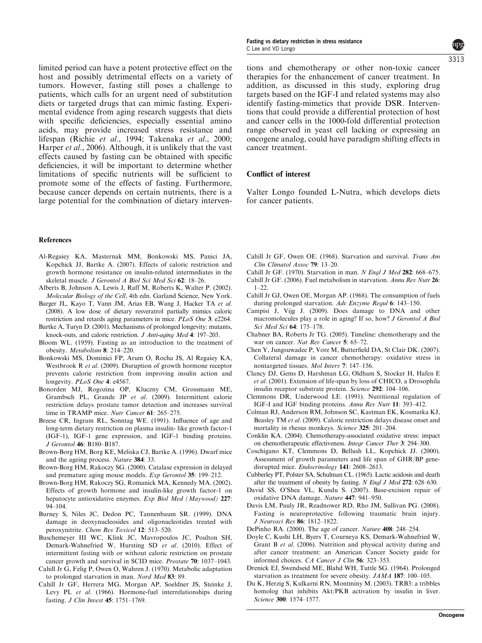<span id="page-8-0"></span>limited period can have a potent protective effect on the host and possibly detrimental effects on a variety of tumors. However, fasting still poses a challenge to patients, which calls for an urgent need of substitution diets or targeted drugs that can mimic fasting. Experimental evidence from aging research suggests that diets with specific deficiencies, especially essential amino acids, may provide increased stress resistance and lifespan (Richie et al.[, 1994](#page-11-0); [Takenaka](#page-11-0) et al., 2000; [Harper](#page-9-0) *et al.*, 2006). Although, it is unlikely that the vast effects caused by fasting can be obtained with specific deficiencies, it will be important to determine whether limitations of specific nutrients will be sufficient to promote some of the effects of fasting. Furthermore, because cancer depends on certain nutrients, there is a large potential for the combination of dietary interven-

#### References

- Al-Regaiey KA, Masternak MM, Bonkowski MS, Panici JA, Kopchick JJ, Bartke A. (2007). Effects of caloric restriction and growth hormone resistance on insulin-related intermediates in the skeletal muscle. J Gerontol A Biol Sci Med Sci 62: 18-26.
- Alberts B, Johnson A, Lewis J, Raff M, Roberts K, Walter P. (2002). Molecular Biology of the Cell, 4th edn. Garland Science, New York.
- Barger JL, Kayo T, Vann JM, Arias EB, Wang J, Hacker TA et al. (2008). A low dose of dietary resveratrol partially mimics caloric restriction and retards aging parameters in mice. PLoS One 3: e2264.
- Bartke A, Turyn D. (2001). Mechanisms of prolonged longevity: mutants, knock-outs, and caloric restriction. J Anti-aging Med 4: 197–203.
- Bloom WL. (1959). Fasting as an introduction to the treatment of obesity. Metabolism 8: 214–220.
- Bonkowski MS, Dominici FP, Arum O, Rocha JS, Al Regaiey KA, Westbrook R et al. (2009). Disruption of growth hormone receptor prevents calorie restriction from improving insulin action and longevity. PLoS One 4: e4567.
- Bonorden MJ, Rogozina OP, Kluczny CM, Grossmann ME, Grambsch PL, Grande JP et al. (2009). Intermittent calorie restriction delays prostate tumor detection and increases survival time in TRAMP mice. Nutr Cancer 61: 265-275.
- Breese CR, Ingram RL, Sonntag WE. (1991). Influence of age and long-term dietary restriction on plasma insulin- like growth factor-1 (IGF-1), IGF-1 gene expression, and IGF-1 binding proteins. J Gerontol 46: B180–B187.
- Brown-Borg HM, Borg KE, Meliska CJ, Bartke A. (1996). Dwarf mice and the ageing process. Nature 384: 33.
- Brown-Borg HM, Rakoczy SG. (2000). Catalase expression in delayed and premature aging mouse models. Exp Gerontol 35: 199–212.
- Brown-Borg HM, Rakoczy SG, Romanick MA, Kennedy MA. (2002). Effects of growth hormone and insulin-like growth factor-1 on hepatocyte antioxidative enzymes. Exp Biol Med (Maywood) 227: 94–104.
- Burney S, Niles JC, Dedon PC, Tannenbaum SR. (1999). DNA damage in deoxynucleosides and oligonucleotides treated with peroxynitrite. Chem Res Toxicol 12: 513–520.
- Buschemeyer III WC, Klink JC, Mavropoulos JC, Poulton SH, Demark-Wahnefried W, Hursting SD et al. (2010). Effect of intermittent fasting with or without caloric restriction on prostate cancer growth and survival in SCID mice. Prostate 70: 1037–1043.
- Cahill Jr G, Felig P, Owen O, Wahren J. (1970). Metabolic adaptation to prolonged starvation in man. Nord Med 83: 89.
- Cahill Jr GF, Herrera MG, Morgan AP, Soeldner JS, Steinke J, Levy PL et al. (1966). Hormone-fuel interrelationships during fasting. *J Clin Invest* **45**: 1751-1769.

tions and chemotherapy or other non-toxic cancer therapies for the enhancement of cancer treatment. In addition, as discussed in this study, exploring drug targets based on the IGF-I and related systems may also identify fasting-mimetics that provide DSR. Interventions that could provide a differential protection of host and cancer cells in the 1000-fold differential protection range observed in yeast cell lacking or expressing an oncogene analog, could have paradigm shifting effects in cancer treatment.

#### Conflict of interest

Valter Longo founded L-Nutra, which develops diets for cancer patients.

- Cahill Jr GF, Owen OE. (1968). Starvation and survival. Trans Am Clin Climatol Assoc 79: 13–20.
- Cahill Jr GF. (1970). Starvation in man. N Engl J Med 282: 668–675.
- Cahill Jr GF. (2006). Fuel metabolism in starvation. Annu Rev Nutr 26: 1–22.
- Cahill Jr GJ, Owen OE, Morgan AP. (1968). The consumption of fuels during prolonged starvation. Adv Enzyme Regul 6: 143-150.
- Campisi J, Vijg J. (2009). Does damage to DNA and other macromolecules play a role in aging? If so, how? J Gerontol A Biol Sci Med Sci 64: 175–178.
- Chabner BA, Roberts Jr TG. (2005). Timeline: chemotherapy and the war on cancer. Nat Rev Cancer 5: 65-72.
- Chen Y, Jungsuwadee P, Vore M, Butterfield DA, St Clair DK. (2007). Collateral damage in cancer chemotherapy: oxidative stress in nontargeted tissues. Mol Interv 7: 147–156.
- Clancy DJ, Gems D, Harshman LG, Oldham S, Stocker H, Hafen E et al. (2001). Extension of life-span by loss of CHICO, a Drosophila insulin receptor substrate protein. Science 292: 104–106.
- Clemmons DR, Underwood LE. (1991). Nutritional regulation of IGF-I and IGF binding proteins. Annu Rev Nutr 11: 393–412.
- Colman RJ, Anderson RM, Johnson SC, Kastman EK, Kosmatka KJ, Beasley TM et al. (2009). Caloric restriction delays disease onset and mortality in rhesus monkeys. Science 325: 201–204.
- Conklin KA. (2004). Chemotherapy-associated oxidative stress: impact on chemotherapeutic effectiveness. Integr Cancer Ther 3: 294–300.
- Coschigano KT, Clemmons D, Bellush LL, Kopchick JJ. (2000). Assessment of growth parameters and life span of GHR/BP genedisrupted mice. Endocrinology 141: 2608–2613.
- Cubberley PT, Polster SA, Schulman CL. (1965). Lactic acidosis and death after the treatment of obesity by fasting. N Engl J Med 272: 628–630.
- David SS, O'Shea VL, Kundu S. (2007). Base-excision repair of oxidative DNA damage. Nature 447: 941–950.
- Davis LM, Pauly JR, Readnower RD, Rho JM, Sullivan PG. (2008). Fasting is neuroprotective following traumatic brain injury. J Neurosci Res 86: 1812–1822.
- DePinho RA. (2000). The age of cancer. Nature 408: 248–254.
- Doyle C, Kushi LH, Byers T, Courneya KS, Demark-Wahnefried W, Grant B et al. (2006). Nutrition and physical activity during and after cancer treatment: an American Cancer Society guide for informed choices. CA Cancer J Clin 56: 323–353.
- Drenick EJ, Swendseid ME, Blahd WH, Tuttle SG. (1964). Prolonged starvation as treatment for severe obesity. JAMA 187: 100–105.
- Du K, Herzig S, Kulkarni RN, Montminy M. (2003). TRB3: a tribbles homolog that inhibits Akt/PKB activation by insulin in liver. Science 300: 1574–1577.

**Oncogene**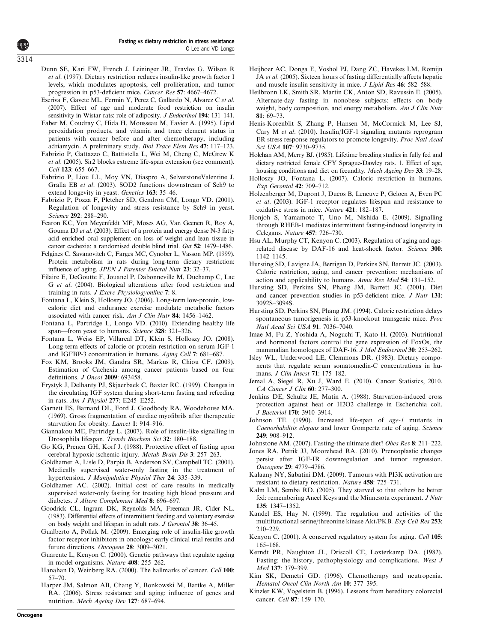- <span id="page-9-0"></span>Dunn SE, Kari FW, French J, Leininger JR, Travlos G, Wilson R et al. (1997). Dietary restriction reduces insulin-like growth factor I levels, which modulates apoptosis, cell proliferation, and tumor progression in p53-deficient mice. Cancer Res 57: 4667–4672.
- Escriva F, Gavete ML, Fermin Y, Perez C, Gallardo N, Alvarez C et al. (2007). Effect of age and moderate food restriction on insulin sensitivity in Wistar rats: role of adiposity. *J Endocrinol* 194: 131-141.
- Faber M, Coudray C, Hida H, Mousseau M, Favier A. (1995). Lipid peroxidation products, and vitamin and trace element status in patients with cancer before and after chemotherapy, including adriamycin. A preliminary study. Biol Trace Elem Res 47: 117–123.
- Fabrizio P, Gattazzo C, Battistella L, Wei M, Cheng C, McGrew K et al. (2005). Sir2 blocks extreme life-span extension (see comment). Cell 123: 655-667.
- Fabrizio P, Liou LL, Moy VN, Diaspro A, SelverstoneValentine J, Gralla EB et al. (2003). SOD2 functions downstream of Sch9 to extend longevity in yeast. Genetics 163: 35–46.
- Fabrizio P, Pozza F, Pletcher SD, Gendron CM, Longo VD. (2001). Regulation of longevity and stress resistance by Sch9 in yeast. Science 292: 288–290.
- Fearon KC, Von Meyenfeldt MF, Moses AG, Van Geenen R, Roy A, Gouma DJ et al. (2003). Effect of a protein and energy dense N-3 fatty acid enriched oral supplement on loss of weight and lean tissue in cancer cachexia: a randomised double blind trial. Gut 52: 1479–1486.
- Felgines C, Savanovitch C, Farges MC, Cynober L, Vasson MP. (1999). Protein metabolism in rats during long-term dietary restriction: influence of aging. JPEN J Parenter Enteral Nutr 23: 32-37.
- Filaire E, DeGoutte F, Jouanel P, Dabonneville M, Duchamp C, Lac G et al. (2004). Biological alterations after food restriction and training in rats. J Exerc Physiologyonline 7: 8.
- Fontana L, Klein S, Holloszy JO. (2006). Long-term low-protein, lowcalorie diet and endurance exercise modulate metabolic factors associated with cancer risk. Am J Clin Nutr 84: 1456–1462.
- Fontana L, Partridge L, Longo VD. (2010). Extending healthy life span—from yeast to humans. Science 328: 321–326.
- Fontana L, Weiss EP, Villareal DT, Klein S, Holloszy JO. (2008). Long-term effects of calorie or protein restriction on serum IGF-1 and IGFBP-3 concentration in humans. Aging Cell 7: 681–687.
- Fox KM, Brooks JM, Gandra SR, Markus R, Chiou CF. (2009). Estimation of Cachexia among cancer patients based on four definitions. J Oncol 2009: 693458.
- Frystyk J, Delhanty PJ, Skjaerbaek C, Baxter RC. (1999). Changes in the circulating IGF system during short-term fasting and refeeding in rats. Am J Physiol 277: E245–E252.
- Garnett ES, Barnard DL, Ford J, Goodbody RA, Woodehouse MA. (1969). Gross fragmentation of cardiac myofibrils after therapeutic starvation for obesity. Lancet 1: 914–916.
- Giannakou ME, Partridge L. (2007). Role of insulin-like signalling in Drosophila lifespan. Trends Biochem Sci 32: 180–188.
- Go KG, Prenen GH, Korf J. (1988). Protective effect of fasting upon cerebral hypoxic-ischemic injury. Metab Brain Dis 3: 257–263.
- Goldhamer A, Lisle D, Parpia B, Anderson SV, Campbell TC. (2001). Medically supervised water-only fasting in the treatment of hypertension. J Manipulative Physiol Ther 24: 335-339.
- Goldhamer AC. (2002). Initial cost of care results in medically supervised water-only fasting for treating high blood pressure and diabetes. J Altern Complement Med 8: 696–697.
- Goodrick CL, Ingram DK, Reynolds MA, Freeman JR, Cider NL. (1983). Differential effects of intermittent feeding and voluntary exercise on body weight and lifespan in adult rats. J Gerontol 38: 36–45.
- Gualberto A, Pollak M. (2009). Emerging role of insulin-like growth factor receptor inhibitors in oncology: early clinical trial results and future directions. Oncogene 28: 3009–3021.
- Guarente L, Kenyon C. (2000). Genetic pathways that regulate ageing in model organisms. Nature 408: 255–262.
- Hanahan D, Weinberg RA. (2000). The hallmarks of cancer. Cell 100: 57–70.
- Harper JM, Salmon AB, Chang Y, Bonkowski M, Bartke A, Miller RA. (2006). Stress resistance and aging: influence of genes and nutrition. Mech Ageing Dev 127: 687–694.
- Heijboer AC, Donga E, Voshol PJ, Dang ZC, Havekes LM, Romijn JA et al. (2005). Sixteen hours of fasting differentially affects hepatic and muscle insulin sensitivity in mice. J Lipid Res 46: 582–588.
- Heilbronn LK, Smith SR, Martin CK, Anton SD, Ravussin E. (2005). Alternate-day fasting in nonobese subjects: effects on body weight, body composition, and energy metabolism. Am J Clin Nutr 81: 69–73.
- Henis-Korenblit S, Zhang P, Hansen M, McCormick M, Lee SJ, Cary M et al. (2010). Insulin/IGF-1 signaling mutants reprogram ER stress response regulators to promote longevity. Proc Natl Acad Sci USA 107: 9730–9735.
- Holehan AM, Merry BJ. (1985). Lifetime breeding studies in fully fed and dietary restricted female CFY Sprague-Dawley rats. 1. Effect of age, housing conditions and diet on fecundity. *Mech Ageing Dev* 33: 19–28.
- Holloszy JO, Fontana L. (2007). Caloric restriction in humans. Exp Gerontol 42: 709–712.
- Holzenberger M, Dupont J, Ducos B, Leneuve P, Geloen A, Even PC et al. (2003). IGF-1 receptor regulates lifespan and resistance to oxidative stress in mice. Nature 421: 182–187.
- Honjoh S, Yamamoto T, Uno M, Nishida E. (2009). Signalling through RHEB-1 mediates intermittent fasting-induced longevity in Celegans. Nature 457: 726–730.
- Hsu AL, Murphy CT, Kenyon C. (2003). Regulation of aging and agerelated disease by DAF-16 and heat-shock factor. Science 300: 1142–1145.
- Hursting SD, Lavigne JA, Berrigan D, Perkins SN, Barrett JC. (2003). Calorie restriction, aging, and cancer prevention: mechanisms of action and applicability to humans. Annu Rev Med 54: 131–152.
- Hursting SD, Perkins SN, Phang JM, Barrett JC. (2001). Diet and cancer prevention studies in p53-deficient mice. J Nutr 131: 3092S–3094S.
- Hursting SD, Perkins SN, Phang JM. (1994). Calorie restriction delays spontaneous tumorigenesis in p53-knockout transgenic mice. Proc Natl Acad Sci USA 91: 7036–7040.
- Imae M, Fu Z, Yoshida A, Noguchi T, Kato H. (2003). Nutritional and hormonal factors control the gene expression of FoxOs, the mammalian homologues of DAF-16. J Mol Endocrinol 30: 253–262.
- Isley WL, Underwood LE, Clemmons DR. (1983). Dietary components that regulate serum somatomedin-C concentrations in humans. J Clin Invest 71: 175–182.
- Jemal A, Siegel R, Xu J, Ward E. (2010). Cancer Statistics, 2010. CA Cancer J Clin 60: 277–300.
- Jenkins DE, Schultz JE, Matin A. (1988). Starvation-induced cross protection against heat or H2O2 challenge in Escherichia coli. J Bacteriol 170: 3910–3914.
- Johnson TE. (1990). Increased life-span of age-1 mutants in Caenorhabditis elegans and lower Gompertz rate of aging. Science 249: 908–912.
- Johnstone AM. (2007). Fasting-the ultimate diet? Obes Rev 8: 211–222.
- Jones RA, Petrik JJ, Moorehead RA. (2010). Preneoplastic changes persist after IGF-IR downregulation and tumor regression. Oncogene 29: 4779–4786.
- Kalaany NY, Sabatini DM. (2009). Tumours with PI3K activation are resistant to dietary restriction. Nature 458: 725–731.
- Kalm LM, Semba RD. (2005). They starved so that others be better fed: remembering Ancel Keys and the Minnesota experiment. J Nutr 135: 1347–1352.
- Kandel ES, Hay N. (1999). The regulation and activities of the multifunctional serine/threonine kinase Akt/PKB. Exp Cell Res 253: 210–229.
- Kenyon C. (2001). A conserved regulatory system for aging. Cell 105: 165–168.
- Kerndt PR, Naughton JL, Driscoll CE, Loxterkamp DA. (1982). Fasting: the history, pathophysiology and complications. West J Med 137: 379–399.
- Kim SK, Demetri GD. (1996). Chemotherapy and neutropenia. Hematol Oncol Clin North Am 10: 377–395.
- Kinzler KW, Vogelstein B. (1996). Lessons from hereditary colorectal cancer. Cell 87: 159–170.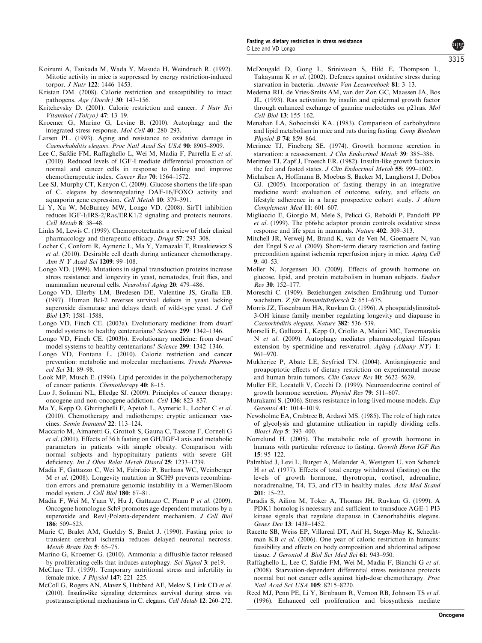- <span id="page-10-0"></span>Koizumi A, Tsukada M, Wada Y, Masuda H, Weindruch R. (1992). Mitotic activity in mice is suppressed by energy restriction-induced torpor. J Nutr 122: 1446–1453.
- Kristan DM. (2008). Calorie restriction and susceptibility to intact pathogens. Age (Dordr) 30: 147–156.
- Kritchevsky D. (2001). Caloric restriction and cancer. J Nutr Sci Vitaminol (Tokyo) 47: 13–19.
- Kroemer G, Marino G, Levine B. (2010). Autophagy and the integrated stress response. Mol Cell 40: 280–293.
- Larsen PL. (1993). Aging and resistance to oxidative damage in Caenorhabditis elegans. Proc Natl Acad Sci USA 90: 8905–8909.
- Lee C, Safdie FM, Raffaghello L, Wei M, Madia F, Parrella E et al. (2010). Reduced levels of IGF-I mediate differential protection of normal and cancer cells in response to fasting and improve chemotherapeutic index. Cancer Res 70: 1564–1572.
- Lee SJ, Murphy CT, Kenyon C. (2009). Glucose shortens the life span of C. elegans by downregulating DAF-16/FOXO activity and aquaporin gene expression. Cell Metab 10: 379–391.
- Li Y, Xu W, McBurney MW, Longo VD. (2008). SirT1 inhibition reduces IGF-I/IRS-2/Ras/ERK1/2 signaling and protects neurons. Cell Metab 8: 38–48.
- Links M, Lewis C. (1999). Chemoprotectants: a review of their clinical pharmacology and therapeutic efficacy. Drugs 57: 293–308.
- Locher C, Conforti R, Aymeric L, Ma Y, Yamazaki T, Rusakiewicz S et al. (2010). Desirable cell death during anticancer chemotherapy. Ann N Y Acad Sci 1209: 99–108.
- Longo VD. (1999). Mutations in signal transduction proteins increase stress resistance and longevity in yeast, nematodes, fruit flies, and mammalian neuronal cells. Neurobiol Aging 20: 479–486.
- Longo VD, Ellerby LM, Bredesen DE, Valentine JS, Gralla EB. (1997). Human Bcl-2 reverses survival defects in yeast lacking superoxide dismutase and delays death of wild-type yeast. J Cell Biol 137: 1581–1588.
- Longo VD, Finch CE. (2003a). Evolutionary medicine: from dwarf model systems to healthy centenarians? Science 299: 1342–1346.
- Longo VD, Finch CE. (2003b). Evolutionary medicine: from dwarf model systems to healthy centenarians? Science 299: 1342–1346.
- Longo VD, Fontana L. (2010). Calorie restriction and cancer prevention: metabolic and molecular mechanisms. Trends Pharmacol Sci 31: 89–98.
- Look MP, Musch E. (1994). Lipid peroxides in the polychemotherapy of cancer patients. Chemotherapy 40: 8–15.
- Luo J, Solimini NL, Elledge SJ. (2009). Principles of cancer therapy: oncogene and non-oncogene addiction. Cell 136: 823–837.
- Ma Y, Kepp O, Ghiringhelli F, Apetoh L, Aymeric L, Locher C et al. (2010). Chemotherapy and radiotherapy: cryptic anticancer vaccines. Semin Immunol 22: 113–124.
- Maccario M, Aimaretti G, Grottoli S, Gauna C, Tassone F, Corneli G et al. (2001). Effects of 36 h fasting on GH/IGF-I axis and metabolic parameters in patients with simple obesity. Comparison with normal subjects and hypopituitary patients with severe GH deficiency. Int J Obes Relat Metab Disord 25: 1233-1239.
- Madia F, Gattazzo C, Wei M, Fabrizio P, Burhans WC, Weinberger M et al. (2008). Longevity mutation in SCH9 prevents recombination errors and premature genomic instability in a Werner/Bloom model system. J Cell Biol 180: 67–81.
- Madia F, Wei M, Yuan V, Hu J, Gattazzo C, Pham P et al. (2009). Oncogene homologue Sch9 promotes age-dependent mutations by a superoxide and Rev1/Polzeta-dependent mechanism. J Cell Biol 186: 509–523.
- Marie C, Bralet AM, Gueldry S, Bralet J. (1990). Fasting prior to transient cerebral ischemia reduces delayed neuronal necrosis. Metab Brain Dis 5: 65–75.
- Marino G, Kroemer G. (2010). Ammonia: a diffusible factor released by proliferating cells that induces autophagy. Sci Signal 3: pe19.
- McClure TJ. (1959). Temporary nutritional stress and infertility in female mice. J Physiol 147: 221–225.
- McColl G, Rogers AN, Alavez S, Hubbard AE, Melov S, Link CD et al. (2010). Insulin-like signaling determines survival during stress via posttranscriptional mechanisms in C. elegans. Cell Metab 12: 260–272.
- McDougald D, Gong L, Srinivasan S, Hild E, Thompson L, Takayama K et al. (2002). Defences against oxidative stress during starvation in bacteria. Antonie Van Leeuwenhoek 81: 3–13.
- Medema RH, de Vries-Smits AM, van der Zon GC, Maassen JA, Bos JL. (1993). Ras activation by insulin and epidermal growth factor through enhanced exchange of guanine nucleotides on p21ras. Mol Cell Biol 13: 155–162.
- Menahan LA, Sobocinski KA. (1983). Comparison of carbohydrate and lipid metabolism in mice and rats during fasting. Comp Biochem Physiol B 74: 859–864.
- Merimee TJ, Fineberg SE. (1974). Growth hormone secretion in starvation: a reassessment. J Clin Endocrinol Metab 39: 385-386.
- Merimee TJ, Zapf J, Froesch ER. (1982). Insulin-like growth factors in the fed and fasted states. J Clin Endocrinol Metab 55: 999-1002.
- Michalsen A, Hoffmann B, Moebus S, Backer M, Langhorst J, Dobos GJ. (2005). Incorporation of fasting therapy in an integrative medicine ward: evaluation of outcome, safety, and effects on lifestyle adherence in a large prospective cohort study. J Altern Complement Med 11: 601–607.
- Migliaccio E, Giorgio M, Mele S, Pelicci G, Reboldi P, Pandolfi PP et al. (1999). The p66shc adaptor protein controls oxidative stress response and life span in mammals. Nature 402: 309–313.
- Mitchell JR, Verweij M, Brand K, van de Ven M, Goemaere N, van den Engel S et al. (2009). Short-term dietary restriction and fasting precondition against ischemia reperfusion injury in mice. Aging Cell 9: 40–53.
- Moller N, Jorgensen JO. (2009). Effects of growth hormone on glucose, lipid, and protein metabolism in human subjects. Endocr Rev 30: 152–177.
- Moreschi C. (1909). Beziehungen zwischen Ernährung und Tumorwachstum. Z für Immunitätsforsch 2: 651–675.
- Morris JZ, Tissenbaum HA, Ruvkun G. (1996). A phospatidylinositol-3-OH kinase family member regulating longevity and diapause in Caenorhbditis elegans. Nature 382: 536–539.
- Morselli E, Galluzzi L, Kepp O, Criollo A, Maiuri MC, Tavernarakis N et al. (2009). Autophagy mediates pharmacological lifespan extension by spermidine and resveratrol. Aging (Albany NY) 1: 961–970.
- Mukherjee P, Abate LE, Seyfried TN. (2004). Antiangiogenic and proapoptotic effects of dietary restriction on experimental mouse and human brain tumors. Clin Cancer Res 10: 5622–5629.
- Muller EE, Locatelli V, Cocchi D. (1999). Neuroendocrine control of growth hormone secretion. Physiol Rev 79: 511–607.
- Murakami S. (2006). Stress resistance in long-lived mouse models. Exp Gerontol 41: 1014–1019.
- Newsholme EA, Crabtree B, Ardawi MS. (1985). The role of high rates of glycolysis and glutamine utilization in rapidly dividing cells. Biosci Rep 5: 393–400.
- Norrelund H. (2005). The metabolic role of growth hormone in humans with particular reference to fasting. Growth Horm IGF Res 15: 95–122.
- Palmblad J, Levi L, Burger A, Melander A, Westgren U, von Schenck H et al. (1977). Effects of total energy withdrawal (fasting) on the levels of growth hormone, thyrotropin, cortisol, adrenaline, noradrenaline, T4, T3, and rT3 in healthy males. Acta Med Scand 201: 15–22.
- Paradis S, Ailion M, Toker A, Thomas JH, Ruvkun G. (1999). A PDK1 homolog is necessary and sufficient to transduce AGE-1 PI3 kinase signals that regulate diapause in Caenorhabditis elegans. Genes Dev 13: 1438–1452.
- Racette SB, Weiss EP, Villareal DT, Arif H, Steger-May K, Schechtman KB et al. (2006). One year of caloric restriction in humans: feasibility and effects on body composition and abdominal adipose tissue. J Gerontol A Biol Sci Med Sci 61: 943–950.
- Raffaghello L, Lee C, Safdie FM, Wei M, Madia F, Bianchi G et al. (2008). Starvation-dependent differential stress resistance protects normal but not cancer cells against high-dose chemotherapy. Proc Natl Acad Sci USA 105: 8215–8220.
- Reed MJ, Penn PE, Li Y, Birnbaum R, Vernon RB, Johnson TS et al. (1996). Enhanced cell proliferation and biosynthesis mediate